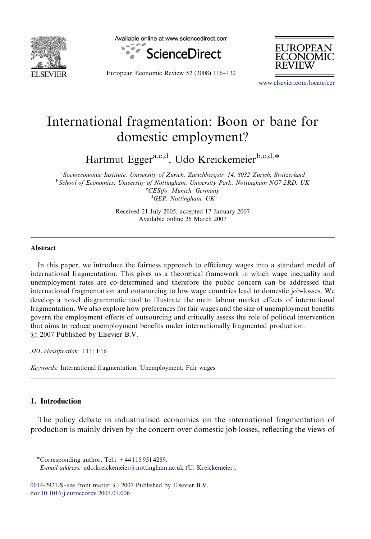

Available online at www.sciencedirect.com



European Economic Review 52 (2008) 116–132



<www.elsevier.com/locate/eer>

## International fragmentation: Boon or bane for domestic employment?

Hartmut Egger<sup>a,c,d</sup>, Udo Kreickemeier<sup>b,c,d,\*</sup>

<sup>a</sup>Socioeconomic Institute, University of Zurich, Zurichbergstr. 14, 8032 Zurich, Switzerland <sup>b</sup>School of Economics, University of Nottingham, University Park, Nottingham NG7 2RD, UK <sup>c</sup>CESifo, Munich, Germany <sup>d</sup>GEP, Nottingham, UK

> Received 21 July 2005; accepted 17 January 2007 Available online 26 March 2007

## Abstract

In this paper, we introduce the fairness approach to efficiency wages into a standard model of international fragmentation. This gives us a theoretical framework in which wage inequality and unemployment rates are co-determined and therefore the public concern can be addressed that international fragmentation and outsourcing to low wage countries lead to domestic job-losses. We develop a novel diagrammatic tool to illustrate the main labour market effects of international fragmentation. We also explore how preferences for fair wages and the size of unemployment benefits govern the employment effects of outsourcing and critically assess the role of political intervention that aims to reduce unemployment benefits under internationally fragmented production.  $\circ$  2007 Published by Elsevier B.V.

JEL classification: F11; F16

Keywords: International fragmentation; Unemployment; Fair wages

## 1. Introduction

The policy debate in industrialised economies on the international fragmentation of production is mainly driven by the concern over domestic job losses, reflecting the views of

0014-2921/\$ - see front matter  $\odot$  2007 Published by Elsevier B.V. doi[:10.1016/j.euroecorev.2007.01.006](dx.doi.org/10.1016/j.euroecorev.2007.01.006)

<sup>-</sup>Corresponding author. Tel.: +44 115 951 4289.

E-mail address: [udo.kreickemeier@nottingham.ac.uk \(U. Kreickemeier\).](mailto:udo.kreickemeier@nottingham.ac.uk)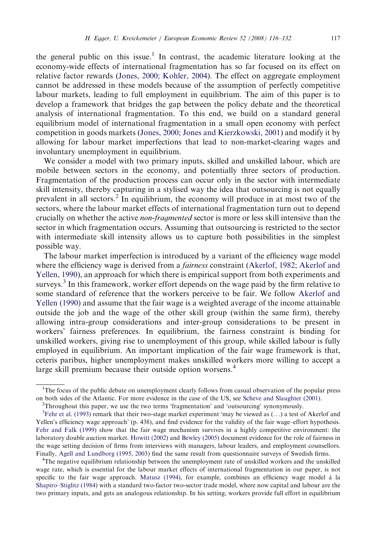the general public on this issue.<sup>1</sup> In contrast, the academic literature looking at the economy-wide effects of international fragmentation has so far focused on its effect on relative factor rewards [\(Jones, 2000; Kohler, 2004\)](#page--1-0). The effect on aggregate employment cannot be addressed in these models because of the assumption of perfectly competitive labour markets, leading to full employment in equilibrium. The aim of this paper is to develop a framework that bridges the gap between the policy debate and the theoretical analysis of international fragmentation. To this end, we build on a standard general equilibrium model of international fragmentation in a small open economy with perfect competition in goods markets ([Jones, 2000; Jones and Kierzkowski, 2001\)](#page--1-0) and modify it by allowing for labour market imperfections that lead to non-market-clearing wages and involuntary unemployment in equilibrium.

We consider a model with two primary inputs, skilled and unskilled labour, which are mobile between sectors in the economy, and potentially three sectors of production. Fragmentation of the production process can occur only in the sector with intermediate skill intensity, thereby capturing in a stylised way the idea that outsourcing is not equally prevalent in all sectors.<sup>2</sup> In equilibrium, the economy will produce in at most two of the sectors, where the labour market effects of international fragmentation turn out to depend crucially on whether the active non-fragmented sector is more or less skill intensive than the sector in which fragmentation occurs. Assuming that outsourcing is restricted to the sector with intermediate skill intensity allows us to capture both possibilities in the simplest possible way.

The labour market imperfection is introduced by a variant of the efficiency wage model where the efficiency wage is derived from a *fairness* constraint ([Akerlof, 1982; Akerlof and](#page--1-0) [Yellen, 1990\)](#page--1-0), an approach for which there is empirical support from both experiments and surveys.<sup>3</sup> In this framework, worker effort depends on the wage paid by the firm relative to some standard of reference that the workers perceive to be fair. We follow [Akerlof and](#page--1-0) [Yellen \(1990\)](#page--1-0) and assume that the fair wage is a weighted average of the income attainable outside the job and the wage of the other skill group (within the same firm), thereby allowing intra-group considerations and inter-group considerations to be present in workers' fairness preferences. In equilibrium, the fairness constraint is binding for unskilled workers, giving rise to unemployment of this group, while skilled labour is fully employed in equilibrium. An important implication of the fair wage framework is that, ceteris paribus, higher unemployment makes unskilled workers more willing to accept a large skill premium because their outside option worsens.<sup>4</sup>

<sup>4</sup>The negative equilibrium relationship between the unemployment rate of unskilled workers and the unskilled wage rate, which is essential for the labour market effects of international fragmentation in our paper, is not specific to the fair wage approach. [Matusz \(1994\),](#page--1-0) for example, combines an efficiency wage model à la [Shapiro–Stiglitz \(1984\)](#page--1-0) with a standard two-factor two-sector trade model, where now capital and labour are the two primary inputs, and gets an analogous relationship. In his setting, workers provide full effort in equilibrium

<sup>&</sup>lt;sup>1</sup>The focus of the public debate on unemployment clearly follows from casual observation of the popular press on both sides of the Atlantic. For more evidence in the case of the US, see [Scheve and Slaughter \(2001\)](#page--1-0).

<sup>&</sup>lt;sup>2</sup>Throughout this paper, we use the two terms 'fragmentation' and 'outsourcing' synonymously.

 ${}^{3}$ [Fehr et al. \(1993\)](#page--1-0) remark that their two-stage market experiment 'may be viewed as  $(...)$  a test of Akerlof and Yellen's efficiency wage approach' (p. 438), and find evidence for the validity of the fair wage–effort hypothesis. [Fehr and Falk \(1999\)](#page--1-0) show that the fair wage mechanism survives in a highly competitive environment: the laboratory double auction market. [Howitt \(2002\)](#page--1-0) and [Bewley \(2005\)](#page--1-0) document evidence for the role of fairness in the wage setting decision of firms from interviews with managers, labour leaders, and employment counsellors. Finally, [Agell and Lundborg \(1995, 2003\)](#page--1-0) find the same result from questionnaire surveys of Swedish firms. <sup>4</sup>